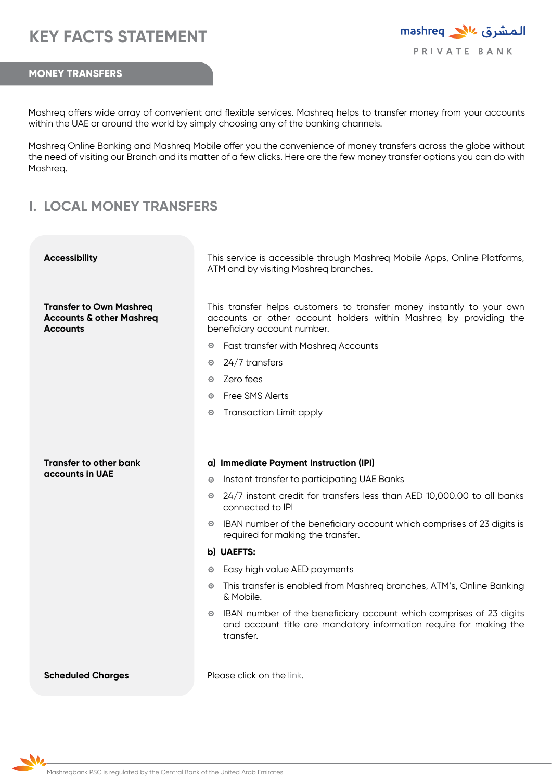## **MONEY TRANSFERS**

Mashreq offers wide array of convenient and flexible services. Mashreq helps to transfer money from your accounts within the UAE or around the world by simply choosing any of the banking channels.

Mashreq Online Banking and Mashreq Mobile offer you the convenience of money transfers across the globe without the need of visiting our Branch and its matter of a few clicks. Here are the few money transfer options you can do with Mashreq.

## **I. LOCAL MONEY TRANSFERS**

| <b>Accessibility</b>                                                                     | This service is accessible through Mashreq Mobile Apps, Online Platforms,<br>ATM and by visiting Mashreq branches.                                                        |
|------------------------------------------------------------------------------------------|---------------------------------------------------------------------------------------------------------------------------------------------------------------------------|
| <b>Transfer to Own Mashreq</b><br><b>Accounts &amp; other Mashreg</b><br><b>Accounts</b> | This transfer helps customers to transfer money instantly to your own<br>accounts or other account holders within Mashreq by providing the<br>beneficiary account number. |
|                                                                                          | Fast transfer with Mashreq Accounts<br>⊙                                                                                                                                  |
|                                                                                          | 24/7 transfers<br>$\odot$                                                                                                                                                 |
|                                                                                          | Zero fees<br>$\odot$                                                                                                                                                      |
|                                                                                          | Free SMS Alerts<br>$\odot$                                                                                                                                                |
|                                                                                          | <b>Transaction Limit apply</b><br>$\odot$                                                                                                                                 |
|                                                                                          |                                                                                                                                                                           |
|                                                                                          |                                                                                                                                                                           |
| <b>Transfer to other bank</b><br>accounts in UAE                                         | a) Immediate Payment Instruction (IPI)                                                                                                                                    |
|                                                                                          | Instant transfer to participating UAE Banks<br>$\odot$                                                                                                                    |
|                                                                                          | 24/7 instant credit for transfers less than AED 10,000.00 to all banks<br>$\odot$<br>connected to IPI                                                                     |
|                                                                                          | IBAN number of the beneficiary account which comprises of 23 digits is<br>$\odot$<br>required for making the transfer.                                                    |
|                                                                                          | b) UAEFTS:                                                                                                                                                                |
|                                                                                          | Easy high value AED payments<br>$_{\odot}$                                                                                                                                |
|                                                                                          | • This transfer is enabled from Mashreq branches, ATM's, Online Banking<br>& Mobile.                                                                                      |
|                                                                                          | IBAN number of the beneficiary account which comprises of 23 digits<br>$\odot$<br>and account title are mandatory information require for making the<br>transfer.         |
| <b>Scheduled Charges</b>                                                                 | Please click on the link.                                                                                                                                                 |